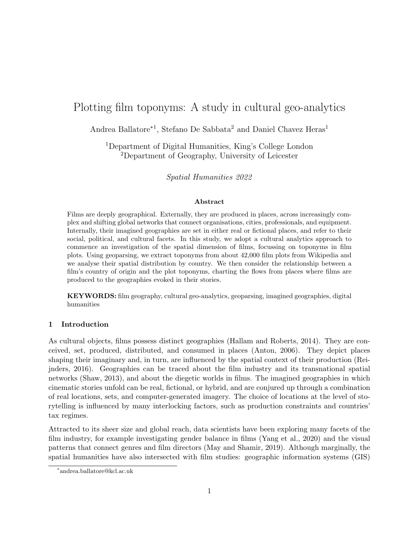# Plotting film toponyms: A study in cultural geo-analytics

Andrea Ballatore<sup>∗1</sup>, Stefano De Sabbata<sup>2</sup> and Daniel Chavez Heras<sup>1</sup>

<sup>1</sup>Department of Digital Humanities, King's College London <sup>2</sup>Department of Geography, University of Leicester

Spatial Humanities 2022

#### Abstract

Films are deeply geographical. Externally, they are produced in places, across increasingly complex and shifting global networks that connect organisations, cities, professionals, and equipment. Internally, their imagined geographies are set in either real or fictional places, and refer to their social, political, and cultural facets. In this study, we adopt a cultural analytics approach to commence an investigation of the spatial dimension of films, focussing on toponyms in film plots. Using geoparsing, we extract toponyms from about 42,000 film plots from Wikipedia and we analyse their spatial distribution by country. We then consider the relationship between a film's country of origin and the plot toponyms, charting the flows from places where films are produced to the geographies evoked in their stories.

KEYWORDS: film geography, cultural geo-analytics, geoparsing, imagined geographies, digital humanities

## 1 Introduction

As cultural objects, films possess distinct geographies [\(Hallam and Roberts, 2014\)](#page-5-0). They are conceived, set, produced, distributed, and consumed in places [\(Anton, 2006\)](#page-3-0). They depict places shaping their imaginary and, in turn, are influenced by the spatial context of their production [\(Rei](#page-5-1)[jnders, 2016\)](#page-5-1). Geographies can be traced about the film industry and its transnational spatial networks [\(Shaw, 2013\)](#page-5-2), and about the diegetic worlds in films. The imagined geographies in which cinematic stories unfold can be real, fictional, or hybrid, and are conjured up through a combination of real locations, sets, and computer-generated imagery. The choice of locations at the level of storytelling is influenced by many interlocking factors, such as production constraints and countries' tax regimes.

Attracted to its sheer size and global reach, data scientists have been exploring many facets of the film industry, for example investigating gender balance in films [\(Yang et al., 2020\)](#page-5-3) and the visual patterns that connect genres and film directors [\(May and Shamir, 2019\)](#page-5-4). Although marginally, the spatial humanities have also intersected with film studies: geographic information systems (GIS)

<sup>∗</sup> andrea.ballatore@kcl.ac.uk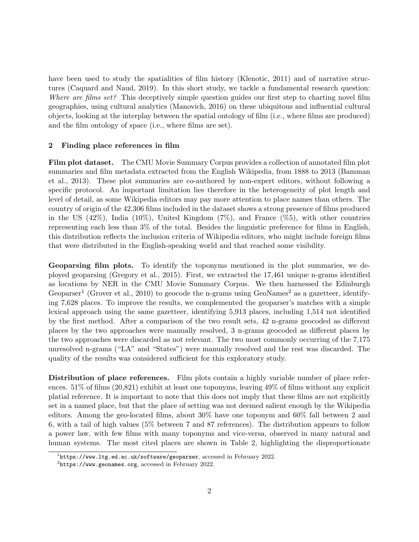have been used to study the spatialities of film history [\(Klenotic, 2011\)](#page-5-5) and of narrative structures [\(Caquard and Naud, 2019\)](#page-4-0). In this short study, we tackle a fundamental research question: Where are films set? This deceptively simple question guides our first step to charting novel film geographies, using cultural analytics [\(Manovich, 2016\)](#page-5-6) on these ubiquitous and influential cultural objects, looking at the interplay between the spatial ontology of film (i.e., where films are produced) and the film ontology of space (i.e., where films are set).

#### 2 Finding place references in film

Film plot dataset. The CMU Movie Summary Corpus provides a collection of annotated film plot summaries and film metadata extracted from the English Wikipedia, from 1888 to 2013 [\(Bamman](#page-3-1) [et al., 2013\)](#page-3-1). These plot summaries are co-authored by non-expert editors, without following a specific protocol. An important limitation lies therefore in the heterogeneity of plot length and level of detail, as some Wikipedia editors may pay more attention to place names than others. The country of origin of the 42,306 films included in the dataset shows a strong presence of films produced in the US  $(42\%)$ , India  $(10\%)$ , United Kingdom  $(7\%)$ , and France  $(%5)$ , with other countries representing each less than 3% of the total. Besides the linguistic preference for films in English, this distribution reflects the inclusion criteria of Wikipedia editors, who might include foreign films that were distributed in the English-speaking world and that reached some visibility.

Geoparsing film plots. To identify the toponyms mentioned in the plot summaries, we deployed geoparsing [\(Gregory et al., 2015\)](#page-4-1). First, we extracted the 17,461 unique n-grams identified as locations by NER in the CMU Movie Summary Corpus. We then harnessed the Edinburgh Geoparser<sup>[1](#page-1-0)</sup> [\(Grover et al., 2010\)](#page-5-7) to geocode the n-grams using GeoNames<sup>[2](#page-1-1)</sup> as a gazetteer, identifying 7,628 places. To improve the results, we complemented the geoparser's matches with a simple lexical approach using the same gazetteer, identifying 5,913 places, including 1,514 not identified by the first method. After a comparison of the two result sets, 42 n-grams geocoded as different places by the two approaches were manually resolved, 3 n-grams geocoded as different places by the two approaches were discarded as not relevant. The two most commonly occurring of the 7,175 unresolved n-grams ("LA" and "States") were manually resolved and the rest was discarded. The quality of the results was considered sufficient for this exploratory study.

Distribution of place references. Film plots contain a highly variable number of place references. 51% of films (20,821) exhibit at least one toponyms, leaving 49% of films without any explicit platial reference. It is important to note that this does not imply that these films are not explicitly set in a named place, but that the place of setting was not deemed salient enough by the Wikipedia editors. Among the geo-located films, about 30% have one toponym and 60% fall between 2 and 6, with a tail of high values (5% between 7 and 87 references). The distribution appears to follow a power law, with few films with many toponyms and vice-versa, observed in many natural and human systems. The most cited places are shown in Table [2,](#page-2-0) highlighting the disproportionate

<span id="page-1-0"></span> $^1$ <https://www.ltg.ed.ac.uk/software/geoparser>, accessed in February 2022.

<span id="page-1-1"></span> $^{2}$ <https://www.geonames.org>, accessed in February 2022.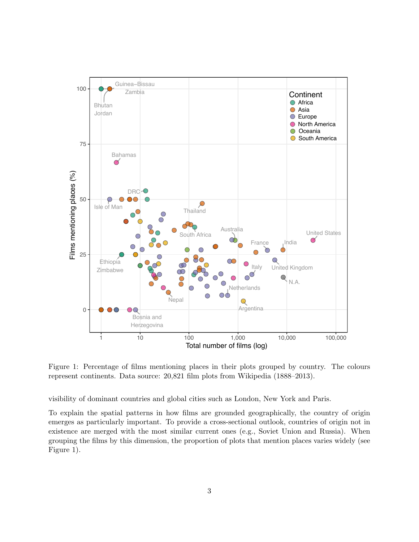

<span id="page-2-0"></span>Figure 1: Percentage of films mentioning places in their plots grouped by country. The colours represent continents. Data source: 20,821 film plots from Wikipedia (1888–2013).

visibility of dominant countries and global cities such as London, New York and Paris.

To explain the spatial patterns in how films are grounded geographically, the country of origin emerges as particularly important. To provide a cross-sectional outlook, countries of origin not in existence are merged with the most similar current ones (e.g., Soviet Union and Russia). When grouping the films by this dimension, the proportion of plots that mention places varies widely (see Figure [1\)](#page-2-0).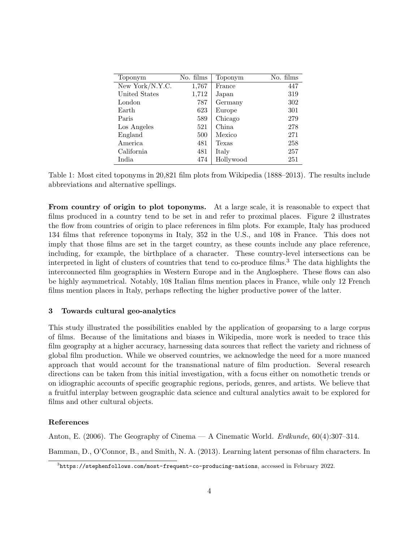| Toponym         | No. films | Toponym   | No. films |
|-----------------|-----------|-----------|-----------|
| New York/N.Y.C. | 1,767     | France    | 447       |
| United States   | 1,712     | Japan     | 319       |
| London          | 787       | Germany   | 302       |
| Earth           | 623       | Europe    | 301       |
| Paris           | 589       | Chicago   | 279       |
| Los Angeles     | 521       | China     | 278       |
| England         | 500       | Mexico    | 271       |
| America         | 481       | Texas     | 258       |
| California      | 481       | Italy     | 257       |
| India           | 474       | Hollywood | 251       |

Table 1: Most cited toponyms in 20,821 film plots from Wikipedia (1888–2013). The results include abbreviations and alternative spellings.

From country of origin to plot toponyms. At a large scale, it is reasonable to expect that films produced in a country tend to be set in and refer to proximal places. Figure [2](#page-4-2) illustrates the flow from countries of origin to place references in film plots. For example, Italy has produced 134 films that reference toponyms in Italy, 352 in the U.S., and 108 in France. This does not imply that those films are set in the target country, as these counts include any place reference, including, for example, the birthplace of a character. These country-level intersections can be interpreted in light of clusters of countries that tend to co-produce films.<sup>[3](#page-3-2)</sup> The data highlights the interconnected film geographies in Western Europe and in the Anglosphere. These flows can also be highly asymmetrical. Notably, 108 Italian films mention places in France, while only 12 French films mention places in Italy, perhaps reflecting the higher productive power of the latter.

#### 3 Towards cultural geo-analytics

This study illustrated the possibilities enabled by the application of geoparsing to a large corpus of films. Because of the limitations and biases in Wikipedia, more work is needed to trace this film geography at a higher accuracy, harnessing data sources that reflect the variety and richness of global film production. While we observed countries, we acknowledge the need for a more nuanced approach that would account for the transnational nature of film production. Several research directions can be taken from this initial investigation, with a focus either on nomothetic trends or on idiographic accounts of specific geographic regions, periods, genres, and artists. We believe that a fruitful interplay between geographic data science and cultural analytics await to be explored for films and other cultural objects.

### References

<span id="page-3-0"></span>Anton, E. (2006). The Geography of Cinema — A Cinematic World. Erdkunde, 60(4):307–314.

<span id="page-3-1"></span>Bamman, D., O'Connor, B., and Smith, N. A. (2013). Learning latent personas of film characters. In

<span id="page-3-2"></span> $^3$ <https://stephenfollows.com/most-frequent-co-producing-nations>, accessed in February 2022.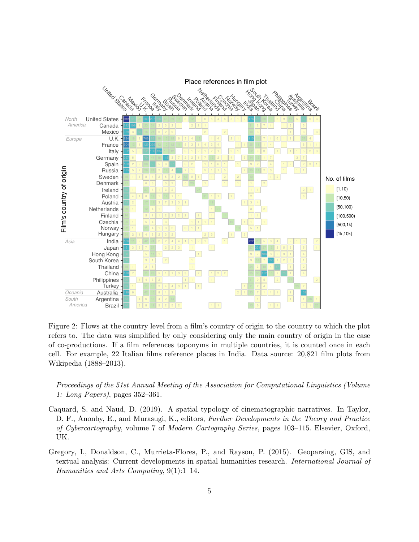

<span id="page-4-2"></span>Figure 2: Flows at the country level from a film's country of origin to the country to which the plot refers to. The data was simplified by only considering only the main country of origin in the case of co-productions. If a film references toponyms in multiple countries, it is counted once in each cell. For example, 22 Italian films reference places in India. Data source: 20,821 film plots from Wikipedia (1888–2013).

Proceedings of the 51st Annual Meeting of the Association for Computational Linguistics (Volume 1: Long Papers), pages 352–361.

- <span id="page-4-0"></span>Caquard, S. and Naud, D. (2019). A spatial typology of cinematographic narratives. In Taylor, D. F., Anonby, E., and Murasugi, K., editors, Further Developments in the Theory and Practice of Cybercartography, volume 7 of Modern Cartography Series, pages 103–115. Elsevier, Oxford, UK.
- <span id="page-4-1"></span>Gregory, I., Donaldson, C., Murrieta-Flores, P., and Rayson, P. (2015). Geoparsing, GIS, and textual analysis: Current developments in spatial humanities research. International Journal of Humanities and Arts Computing, 9(1):1–14.